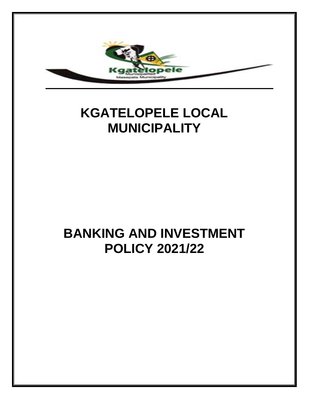

# **KGATELOPELE LOCAL MUNICIPALITY**

# **BANKING AND INVESTMENT POLICY 2021/22**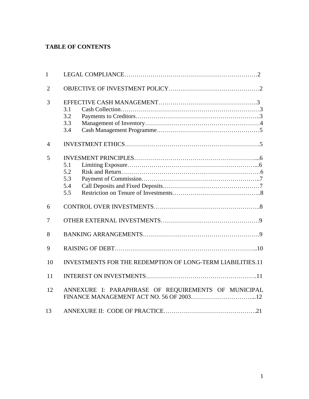# **TABLE OF CONTENTS**

| $\mathbf{1}$   |                                                            |  |
|----------------|------------------------------------------------------------|--|
| $\overline{2}$ |                                                            |  |
| 3              | 3.1<br>3.2<br>3.3<br>3.4                                   |  |
| $\overline{4}$ |                                                            |  |
| 5              | 5.1<br>5.2<br>5.3<br>5.4<br>5.5                            |  |
| 6              |                                                            |  |
| 7              |                                                            |  |
| 8              |                                                            |  |
| 9              |                                                            |  |
| 10             | INVESTMENTS FOR THE REDEMPTION OF LONG-TERM LIABILITIES.11 |  |
| 11             |                                                            |  |
| 12             | ANNEXURE I: PARAPHRASE OF REQUIREMENTS OF MUNICIPAL        |  |
| 13             |                                                            |  |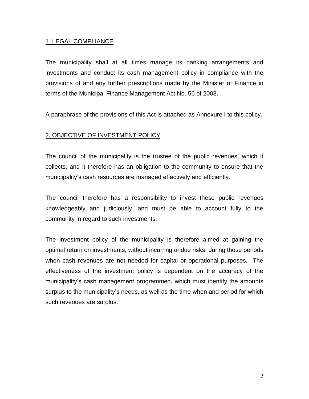#### 1. LEGAL COMPLIANCE

The municipality shall at all times manage its banking arrangements and investments and conduct its cash management policy in compliance with the provisions of and any further prescriptions made by the Minister of Finance in terms of the Municipal Finance Management Act No. 56 of 2003.

A paraphrase of the provisions of this Act is attached as Annexure I to this policy.

# 2. OBJECTIVE OF INVESTMENT POLICY

The council of the municipality is the trustee of the public revenues, which it collects, and it therefore has an obligation to the community to ensure that the municipality's cash resources are managed effectively and efficiently.

The council therefore has a responsibility to invest these public revenues knowledgeably and judiciously, and must be able to account fully to the community in regard to such investments.

The investment policy of the municipality is therefore aimed at gaining the optimal return on investments, without incurring undue risks, during those periods when cash revenues are not needed for capital or operational purposes. The effectiveness of the investment policy is dependent on the accuracy of the municipality's cash management programmed, which must identify the amounts surplus to the municipality's needs, as well as the time when and period for which such revenues are surplus.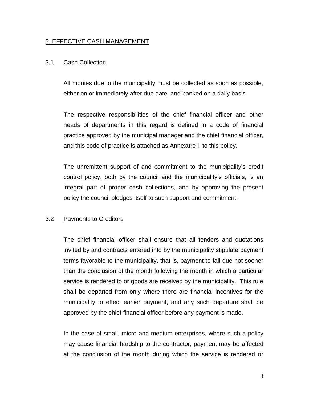#### 3. EFFECTIVE CASH MANAGEMENT

#### 3.1 Cash Collection

All monies due to the municipality must be collected as soon as possible, either on or immediately after due date, and banked on a daily basis.

The respective responsibilities of the chief financial officer and other heads of departments in this regard is defined in a code of financial practice approved by the municipal manager and the chief financial officer, and this code of practice is attached as Annexure II to this policy.

The unremittent support of and commitment to the municipality's credit control policy, both by the council and the municipality's officials, is an integral part of proper cash collections, and by approving the present policy the council pledges itself to such support and commitment.

#### 3.2 Payments to Creditors

The chief financial officer shall ensure that all tenders and quotations invited by and contracts entered into by the municipality stipulate payment terms favorable to the municipality, that is, payment to fall due not sooner than the conclusion of the month following the month in which a particular service is rendered to or goods are received by the municipality. This rule shall be departed from only where there are financial incentives for the municipality to effect earlier payment, and any such departure shall be approved by the chief financial officer before any payment is made.

In the case of small, micro and medium enterprises, where such a policy may cause financial hardship to the contractor, payment may be affected at the conclusion of the month during which the service is rendered or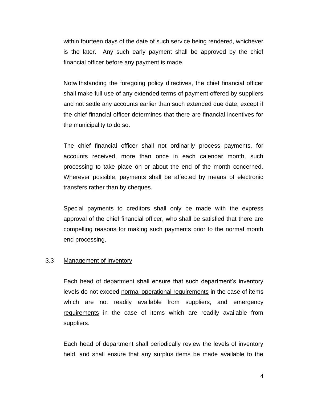within fourteen days of the date of such service being rendered, whichever is the later. Any such early payment shall be approved by the chief financial officer before any payment is made.

Notwithstanding the foregoing policy directives, the chief financial officer shall make full use of any extended terms of payment offered by suppliers and not settle any accounts earlier than such extended due date, except if the chief financial officer determines that there are financial incentives for the municipality to do so.

The chief financial officer shall not ordinarily process payments, for accounts received, more than once in each calendar month, such processing to take place on or about the end of the month concerned. Wherever possible, payments shall be affected by means of electronic transfers rather than by cheques.

Special payments to creditors shall only be made with the express approval of the chief financial officer, who shall be satisfied that there are compelling reasons for making such payments prior to the normal month end processing.

#### 3.3 Management of Inventory

Each head of department shall ensure that such department's inventory levels do not exceed normal operational requirements in the case of items which are not readily available from suppliers, and emergency requirements in the case of items which are readily available from suppliers.

Each head of department shall periodically review the levels of inventory held, and shall ensure that any surplus items be made available to the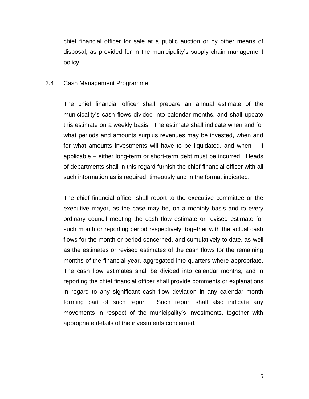chief financial officer for sale at a public auction or by other means of disposal, as provided for in the municipality's supply chain management policy.

#### 3.4 Cash Management Programme

The chief financial officer shall prepare an annual estimate of the municipality's cash flows divided into calendar months, and shall update this estimate on a weekly basis. The estimate shall indicate when and for what periods and amounts surplus revenues may be invested, when and for what amounts investments will have to be liquidated, and when – if applicable – either long-term or short-term debt must be incurred. Heads of departments shall in this regard furnish the chief financial officer with all such information as is required, timeously and in the format indicated.

The chief financial officer shall report to the executive committee or the executive mayor, as the case may be, on a monthly basis and to every ordinary council meeting the cash flow estimate or revised estimate for such month or reporting period respectively, together with the actual cash flows for the month or period concerned, and cumulatively to date, as well as the estimates or revised estimates of the cash flows for the remaining months of the financial year, aggregated into quarters where appropriate. The cash flow estimates shall be divided into calendar months, and in reporting the chief financial officer shall provide comments or explanations in regard to any significant cash flow deviation in any calendar month forming part of such report. Such report shall also indicate any movements in respect of the municipality's investments, together with appropriate details of the investments concerned.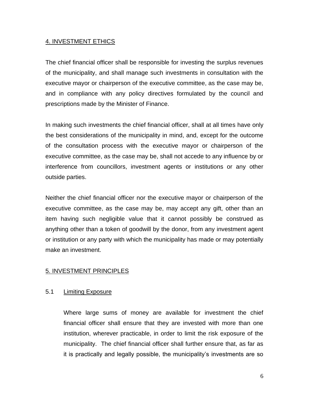#### 4. INVESTMENT ETHICS

The chief financial officer shall be responsible for investing the surplus revenues of the municipality, and shall manage such investments in consultation with the executive mayor or chairperson of the executive committee, as the case may be, and in compliance with any policy directives formulated by the council and prescriptions made by the Minister of Finance.

In making such investments the chief financial officer, shall at all times have only the best considerations of the municipality in mind, and, except for the outcome of the consultation process with the executive mayor or chairperson of the executive committee, as the case may be, shall not accede to any influence by or interference from councillors, investment agents or institutions or any other outside parties.

Neither the chief financial officer nor the executive mayor or chairperson of the executive committee, as the case may be, may accept any gift, other than an item having such negligible value that it cannot possibly be construed as anything other than a token of goodwill by the donor, from any investment agent or institution or any party with which the municipality has made or may potentially make an investment.

#### 5. INVESTMENT PRINCIPLES

#### 5.1 Limiting Exposure

Where large sums of money are available for investment the chief financial officer shall ensure that they are invested with more than one institution, wherever practicable, in order to limit the risk exposure of the municipality. The chief financial officer shall further ensure that, as far as it is practically and legally possible, the municipality's investments are so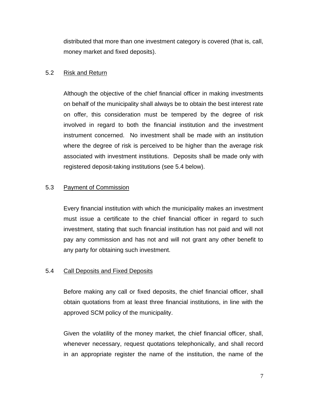distributed that more than one investment category is covered (that is, call, money market and fixed deposits).

#### 5.2 Risk and Return

Although the objective of the chief financial officer in making investments on behalf of the municipality shall always be to obtain the best interest rate on offer, this consideration must be tempered by the degree of risk involved in regard to both the financial institution and the investment instrument concerned. No investment shall be made with an institution where the degree of risk is perceived to be higher than the average risk associated with investment institutions. Deposits shall be made only with registered deposit-taking institutions (see 5.4 below).

#### 5.3 Payment of Commission

Every financial institution with which the municipality makes an investment must issue a certificate to the chief financial officer in regard to such investment, stating that such financial institution has not paid and will not pay any commission and has not and will not grant any other benefit to any party for obtaining such investment.

#### 5.4 Call Deposits and Fixed Deposits

Before making any call or fixed deposits, the chief financial officer, shall obtain quotations from at least three financial institutions, in line with the approved SCM policy of the municipality.

Given the volatility of the money market, the chief financial officer, shall, whenever necessary, request quotations telephonically, and shall record in an appropriate register the name of the institution, the name of the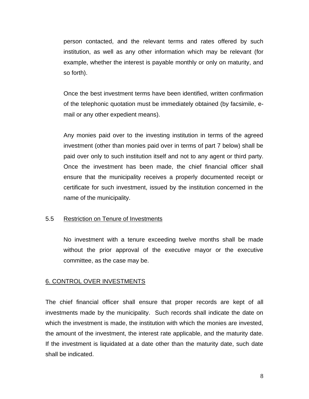person contacted, and the relevant terms and rates offered by such institution, as well as any other information which may be relevant (for example, whether the interest is payable monthly or only on maturity, and so forth).

Once the best investment terms have been identified, written confirmation of the telephonic quotation must be immediately obtained (by facsimile, email or any other expedient means).

Any monies paid over to the investing institution in terms of the agreed investment (other than monies paid over in terms of part 7 below) shall be paid over only to such institution itself and not to any agent or third party. Once the investment has been made, the chief financial officer shall ensure that the municipality receives a properly documented receipt or certificate for such investment, issued by the institution concerned in the name of the municipality.

#### 5.5 Restriction on Tenure of Investments

No investment with a tenure exceeding twelve months shall be made without the prior approval of the executive mayor or the executive committee, as the case may be.

#### 6. CONTROL OVER INVESTMENTS

The chief financial officer shall ensure that proper records are kept of all investments made by the municipality. Such records shall indicate the date on which the investment is made, the institution with which the monies are invested, the amount of the investment, the interest rate applicable, and the maturity date. If the investment is liquidated at a date other than the maturity date, such date shall be indicated.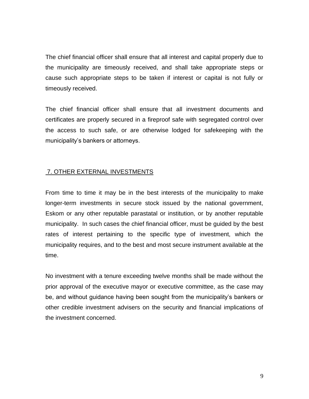The chief financial officer shall ensure that all interest and capital properly due to the municipality are timeously received, and shall take appropriate steps or cause such appropriate steps to be taken if interest or capital is not fully or timeously received.

The chief financial officer shall ensure that all investment documents and certificates are properly secured in a fireproof safe with segregated control over the access to such safe, or are otherwise lodged for safekeeping with the municipality's bankers or attorneys.

# 7. OTHER EXTERNAL INVESTMENTS

From time to time it may be in the best interests of the municipality to make longer-term investments in secure stock issued by the national government, Eskom or any other reputable parastatal or institution, or by another reputable municipality. In such cases the chief financial officer, must be guided by the best rates of interest pertaining to the specific type of investment, which the municipality requires, and to the best and most secure instrument available at the time.

No investment with a tenure exceeding twelve months shall be made without the prior approval of the executive mayor or executive committee, as the case may be, and without guidance having been sought from the municipality's bankers or other credible investment advisers on the security and financial implications of the investment concerned.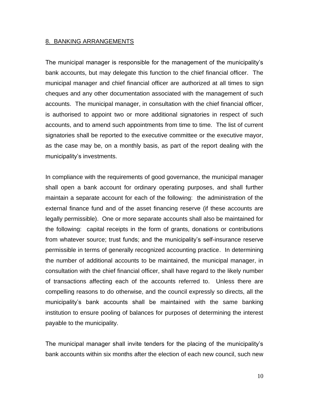#### 8. BANKING ARRANGEMENTS

The municipal manager is responsible for the management of the municipality's bank accounts, but may delegate this function to the chief financial officer. The municipal manager and chief financial officer are authorized at all times to sign cheques and any other documentation associated with the management of such accounts. The municipal manager, in consultation with the chief financial officer, is authorised to appoint two or more additional signatories in respect of such accounts, and to amend such appointments from time to time. The list of current signatories shall be reported to the executive committee or the executive mayor, as the case may be, on a monthly basis, as part of the report dealing with the municipality's investments.

In compliance with the requirements of good governance, the municipal manager shall open a bank account for ordinary operating purposes, and shall further maintain a separate account for each of the following: the administration of the external finance fund and of the asset financing reserve (if these accounts are legally permissible). One or more separate accounts shall also be maintained for the following: capital receipts in the form of grants, donations or contributions from whatever source; trust funds; and the municipality's self-insurance reserve permissible in terms of generally recognized accounting practice. In determining the number of additional accounts to be maintained, the municipal manager, in consultation with the chief financial officer, shall have regard to the likely number of transactions affecting each of the accounts referred to. Unless there are compelling reasons to do otherwise, and the council expressly so directs, all the municipality's bank accounts shall be maintained with the same banking institution to ensure pooling of balances for purposes of determining the interest payable to the municipality.

The municipal manager shall invite tenders for the placing of the municipality's bank accounts within six months after the election of each new council, such new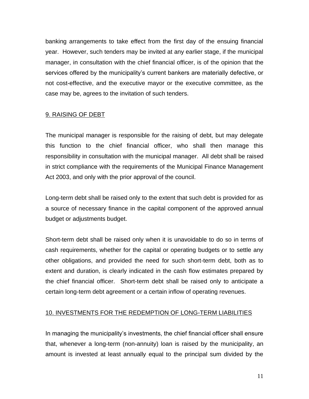banking arrangements to take effect from the first day of the ensuing financial year. However, such tenders may be invited at any earlier stage, if the municipal manager, in consultation with the chief financial officer, is of the opinion that the services offered by the municipality's current bankers are materially defective, or not cost-effective, and the executive mayor or the executive committee, as the case may be, agrees to the invitation of such tenders.

### 9. RAISING OF DEBT

The municipal manager is responsible for the raising of debt, but may delegate this function to the chief financial officer, who shall then manage this responsibility in consultation with the municipal manager. All debt shall be raised in strict compliance with the requirements of the Municipal Finance Management Act 2003, and only with the prior approval of the council.

Long-term debt shall be raised only to the extent that such debt is provided for as a source of necessary finance in the capital component of the approved annual budget or adjustments budget.

Short-term debt shall be raised only when it is unavoidable to do so in terms of cash requirements, whether for the capital or operating budgets or to settle any other obligations, and provided the need for such short-term debt, both as to extent and duration, is clearly indicated in the cash flow estimates prepared by the chief financial officer. Short-term debt shall be raised only to anticipate a certain long-term debt agreement or a certain inflow of operating revenues.

# 10. INVESTMENTS FOR THE REDEMPTION OF LONG-TERM LIABILITIES

In managing the municipality's investments, the chief financial officer shall ensure that, whenever a long-term (non-annuity) loan is raised by the municipality, an amount is invested at least annually equal to the principal sum divided by the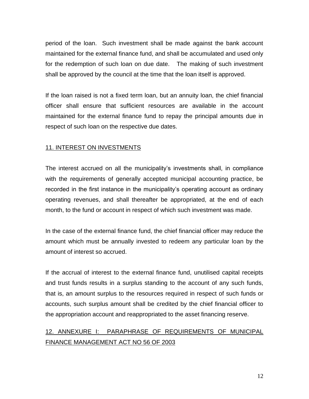period of the loan. Such investment shall be made against the bank account maintained for the external finance fund, and shall be accumulated and used only for the redemption of such loan on due date. The making of such investment shall be approved by the council at the time that the loan itself is approved.

If the loan raised is not a fixed term loan, but an annuity loan, the chief financial officer shall ensure that sufficient resources are available in the account maintained for the external finance fund to repay the principal amounts due in respect of such loan on the respective due dates.

### 11. INTEREST ON INVESTMENTS

The interest accrued on all the municipality's investments shall, in compliance with the requirements of generally accepted municipal accounting practice, be recorded in the first instance in the municipality's operating account as ordinary operating revenues, and shall thereafter be appropriated, at the end of each month, to the fund or account in respect of which such investment was made.

In the case of the external finance fund, the chief financial officer may reduce the amount which must be annually invested to redeem any particular loan by the amount of interest so accrued.

If the accrual of interest to the external finance fund, unutilised capital receipts and trust funds results in a surplus standing to the account of any such funds, that is, an amount surplus to the resources required in respect of such funds or accounts, such surplus amount shall be credited by the chief financial officer to the appropriation account and reappropriated to the asset financing reserve.

# 12. ANNEXURE I: PARAPHRASE OF REQUIREMENTS OF MUNICIPAL FINANCE MANAGEMENT ACT NO 56 OF 2003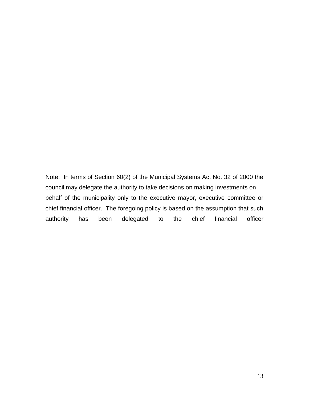Note: In terms of Section 60(2) of the Municipal Systems Act No. 32 of 2000 the council may delegate the authority to take decisions on making investments on behalf of the municipality only to the executive mayor, executive committee or chief financial officer. The foregoing policy is based on the assumption that such authority has been delegated to the chief financial officer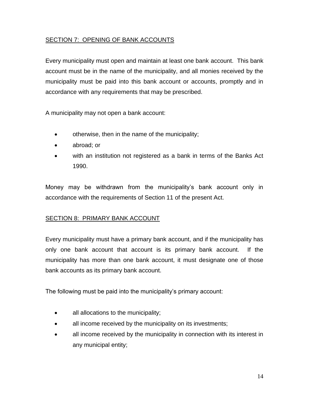# SECTION 7: OPENING OF BANK ACCOUNTS

Every municipality must open and maintain at least one bank account. This bank account must be in the name of the municipality, and all monies received by the municipality must be paid into this bank account or accounts, promptly and in accordance with any requirements that may be prescribed.

A municipality may not open a bank account:

- otherwise, then in the name of the municipality;
- abroad; or
- with an institution not registered as a bank in terms of the Banks Act 1990.

Money may be withdrawn from the municipality's bank account only in accordance with the requirements of Section 11 of the present Act.

# SECTION 8: PRIMARY BANK ACCOUNT

Every municipality must have a primary bank account, and if the municipality has only one bank account that account is its primary bank account. If the municipality has more than one bank account, it must designate one of those bank accounts as its primary bank account.

The following must be paid into the municipality's primary account:

- all allocations to the municipality;
- all income received by the municipality on its investments;
- all income received by the municipality in connection with its interest in any municipal entity;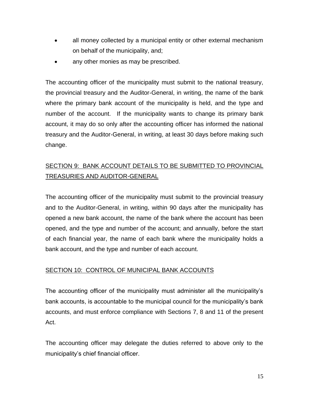- all money collected by a municipal entity or other external mechanism on behalf of the municipality, and;
- any other monies as may be prescribed.

The accounting officer of the municipality must submit to the national treasury, the provincial treasury and the Auditor-General, in writing, the name of the bank where the primary bank account of the municipality is held, and the type and number of the account. If the municipality wants to change its primary bank account, it may do so only after the accounting officer has informed the national treasury and the Auditor-General, in writing, at least 30 days before making such change.

# SECTION 9: BANK ACCOUNT DETAILS TO BE SUBMITTED TO PROVINCIAL TREASURIES AND AUDITOR-GENERAL

The accounting officer of the municipality must submit to the provincial treasury and to the Auditor-General, in writing, within 90 days after the municipality has opened a new bank account, the name of the bank where the account has been opened, and the type and number of the account; and annually, before the start of each financial year, the name of each bank where the municipality holds a bank account, and the type and number of each account.

# SECTION 10: CONTROL OF MUNICIPAL BANK ACCOUNTS

The accounting officer of the municipality must administer all the municipality's bank accounts, is accountable to the municipal council for the municipality's bank accounts, and must enforce compliance with Sections 7, 8 and 11 of the present Act.

The accounting officer may delegate the duties referred to above only to the municipality's chief financial officer.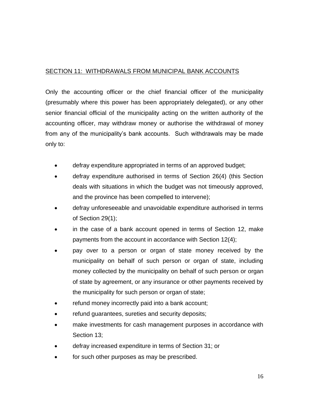# SECTION 11: WITHDRAWALS FROM MUNICIPAL BANK ACCOUNTS

Only the accounting officer or the chief financial officer of the municipality (presumably where this power has been appropriately delegated), or any other senior financial official of the municipality acting on the written authority of the accounting officer, may withdraw money or authorise the withdrawal of money from any of the municipality's bank accounts. Such withdrawals may be made only to:

- defray expenditure appropriated in terms of an approved budget;
- defray expenditure authorised in terms of Section 26(4) (this Section deals with situations in which the budget was not timeously approved, and the province has been compelled to intervene);
- defray unforeseeable and unavoidable expenditure authorised in terms of Section 29(1);
- in the case of a bank account opened in terms of Section 12, make payments from the account in accordance with Section 12(4);
- pay over to a person or organ of state money received by the municipality on behalf of such person or organ of state, including money collected by the municipality on behalf of such person or organ of state by agreement, or any insurance or other payments received by the municipality for such person or organ of state;
- refund money incorrectly paid into a bank account;
- refund quarantees, sureties and security deposits;
- make investments for cash management purposes in accordance with Section 13;
- defray increased expenditure in terms of Section 31; or
- for such other purposes as may be prescribed.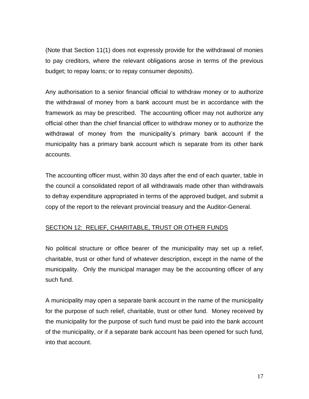(Note that Section 11(1) does not expressly provide for the withdrawal of monies to pay creditors, where the relevant obligations arose in terms of the previous budget; to repay loans; or to repay consumer deposits).

Any authorisation to a senior financial official to withdraw money or to authorize the withdrawal of money from a bank account must be in accordance with the framework as may be prescribed. The accounting officer may not authorize any official other than the chief financial officer to withdraw money or to authorize the withdrawal of money from the municipality's primary bank account if the municipality has a primary bank account which is separate from its other bank accounts.

The accounting officer must, within 30 days after the end of each quarter, table in the council a consolidated report of all withdrawals made other than withdrawals to defray expenditure appropriated in terms of the approved budget, and submit a copy of the report to the relevant provincial treasury and the Auditor-General.

# SECTION 12: RELIEF, CHARITABLE, TRUST OR OTHER FUNDS

No political structure or office bearer of the municipality may set up a relief, charitable, trust or other fund of whatever description, except in the name of the municipality. Only the municipal manager may be the accounting officer of any such fund.

A municipality may open a separate bank account in the name of the municipality for the purpose of such relief, charitable, trust or other fund. Money received by the municipality for the purpose of such fund must be paid into the bank account of the municipality, or if a separate bank account has been opened for such fund, into that account.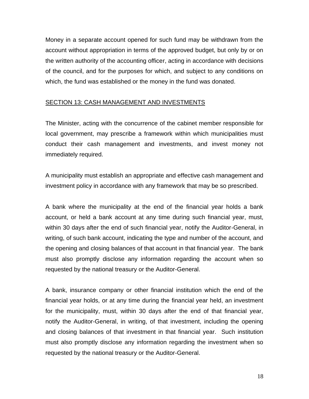Money in a separate account opened for such fund may be withdrawn from the account without appropriation in terms of the approved budget, but only by or on the written authority of the accounting officer, acting in accordance with decisions of the council, and for the purposes for which, and subject to any conditions on which, the fund was established or the money in the fund was donated.

### SECTION 13: CASH MANAGEMENT AND INVESTMENTS

The Minister, acting with the concurrence of the cabinet member responsible for local government, may prescribe a framework within which municipalities must conduct their cash management and investments, and invest money not immediately required.

A municipality must establish an appropriate and effective cash management and investment policy in accordance with any framework that may be so prescribed.

A bank where the municipality at the end of the financial year holds a bank account, or held a bank account at any time during such financial year, must, within 30 days after the end of such financial year, notify the Auditor-General, in writing, of such bank account, indicating the type and number of the account, and the opening and closing balances of that account in that financial year. The bank must also promptly disclose any information regarding the account when so requested by the national treasury or the Auditor-General.

A bank, insurance company or other financial institution which the end of the financial year holds, or at any time during the financial year held, an investment for the municipality, must, within 30 days after the end of that financial year, notify the Auditor-General, in writing, of that investment, including the opening and closing balances of that investment in that financial year. Such institution must also promptly disclose any information regarding the investment when so requested by the national treasury or the Auditor-General.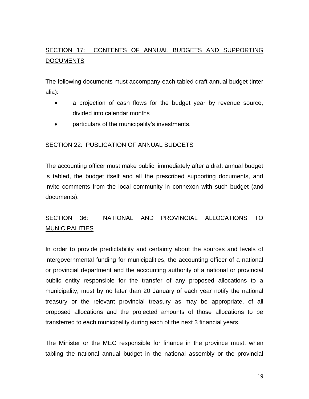# SECTION 17: CONTENTS OF ANNUAL BUDGETS AND SUPPORTING **DOCUMENTS**

The following documents must accompany each tabled draft annual budget (inter alia):

- a projection of cash flows for the budget year by revenue source, divided into calendar months
- particulars of the municipality's investments.

# SECTION 22: PUBLICATION OF ANNUAL BUDGETS

The accounting officer must make public, immediately after a draft annual budget is tabled, the budget itself and all the prescribed supporting documents, and invite comments from the local community in connexon with such budget (and documents).

# SECTION 36: NATIONAL AND PROVINCIAL ALLOCATIONS TO **MUNICIPALITIES**

In order to provide predictability and certainty about the sources and levels of intergovernmental funding for municipalities, the accounting officer of a national or provincial department and the accounting authority of a national or provincial public entity responsible for the transfer of any proposed allocations to a municipality, must by no later than 20 January of each year notify the national treasury or the relevant provincial treasury as may be appropriate, of all proposed allocations and the projected amounts of those allocations to be transferred to each municipality during each of the next 3 financial years.

The Minister or the MEC responsible for finance in the province must, when tabling the national annual budget in the national assembly or the provincial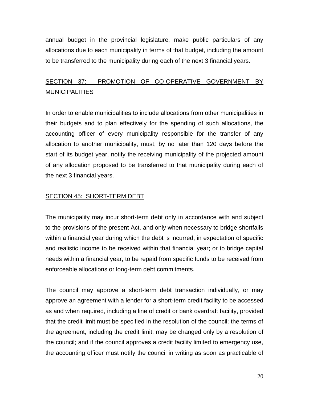annual budget in the provincial legislature, make public particulars of any allocations due to each municipality in terms of that budget, including the amount to be transferred to the municipality during each of the next 3 financial years.

# SECTION 37: PROMOTION OF CO-OPERATIVE GOVERNMENT BY MUNICIPALITIES

In order to enable municipalities to include allocations from other municipalities in their budgets and to plan effectively for the spending of such allocations, the accounting officer of every municipality responsible for the transfer of any allocation to another municipality, must, by no later than 120 days before the start of its budget year, notify the receiving municipality of the projected amount of any allocation proposed to be transferred to that municipality during each of the next 3 financial years.

### SECTION 45: SHORT-TERM DEBT

The municipality may incur short-term debt only in accordance with and subject to the provisions of the present Act, and only when necessary to bridge shortfalls within a financial year during which the debt is incurred, in expectation of specific and realistic income to be received within that financial year; or to bridge capital needs within a financial year, to be repaid from specific funds to be received from enforceable allocations or long-term debt commitments.

The council may approve a short-term debt transaction individually, or may approve an agreement with a lender for a short-term credit facility to be accessed as and when required, including a line of credit or bank overdraft facility, provided that the credit limit must be specified in the resolution of the council; the terms of the agreement, including the credit limit, may be changed only by a resolution of the council; and if the council approves a credit facility limited to emergency use, the accounting officer must notify the council in writing as soon as practicable of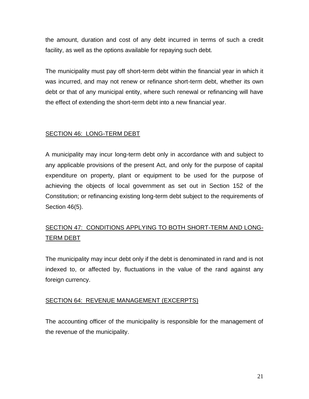the amount, duration and cost of any debt incurred in terms of such a credit facility, as well as the options available for repaying such debt.

The municipality must pay off short-term debt within the financial year in which it was incurred, and may not renew or refinance short-term debt, whether its own debt or that of any municipal entity, where such renewal or refinancing will have the effect of extending the short-term debt into a new financial year.

# SECTION 46: LONG-TERM DEBT

A municipality may incur long-term debt only in accordance with and subject to any applicable provisions of the present Act, and only for the purpose of capital expenditure on property, plant or equipment to be used for the purpose of achieving the objects of local government as set out in Section 152 of the Constitution; or refinancing existing long-term debt subject to the requirements of Section 46(5).

# SECTION 47: CONDITIONS APPLYING TO BOTH SHORT-TERM AND LONG-TERM DEBT

The municipality may incur debt only if the debt is denominated in rand and is not indexed to, or affected by, fluctuations in the value of the rand against any foreign currency.

# SECTION 64: REVENUE MANAGEMENT (EXCERPTS)

The accounting officer of the municipality is responsible for the management of the revenue of the municipality.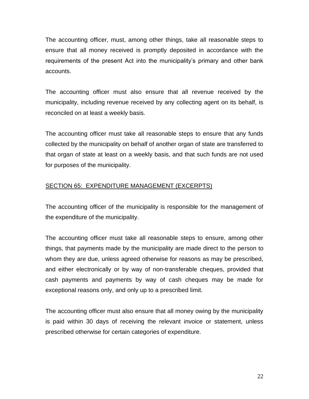The accounting officer, must, among other things, take all reasonable steps to ensure that all money received is promptly deposited in accordance with the requirements of the present Act into the municipality's primary and other bank accounts.

The accounting officer must also ensure that all revenue received by the municipality, including revenue received by any collecting agent on its behalf, is reconciled on at least a weekly basis.

The accounting officer must take all reasonable steps to ensure that any funds collected by the municipality on behalf of another organ of state are transferred to that organ of state at least on a weekly basis, and that such funds are not used for purposes of the municipality.

# SECTION 65: EXPENDITURE MANAGEMENT (EXCERPTS)

The accounting officer of the municipality is responsible for the management of the expenditure of the municipality.

The accounting officer must take all reasonable steps to ensure, among other things, that payments made by the municipality are made direct to the person to whom they are due, unless agreed otherwise for reasons as may be prescribed, and either electronically or by way of non-transferable cheques, provided that cash payments and payments by way of cash cheques may be made for exceptional reasons only, and only up to a prescribed limit.

The accounting officer must also ensure that all money owing by the municipality is paid within 30 days of receiving the relevant invoice or statement, unless prescribed otherwise for certain categories of expenditure.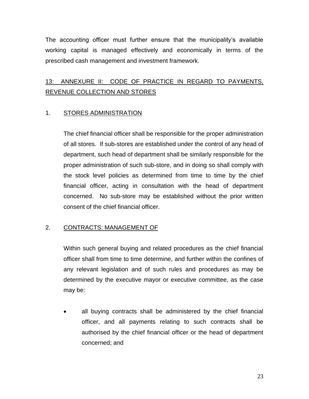The accounting officer must further ensure that the municipality's available working capital is managed effectively and economically in terms of the prescribed cash management and investment framework.

# 13: ANNEXURE II: CODE OF PRACTICE IN REGARD TO PAYMENTS, REVENUE COLLECTION AND STORES

# 1. STORES ADMINISTRATION

The chief financial officer shall be responsible for the proper administration of all stores. If sub-stores are established under the control of any head of department, such head of department shall be similarly responsible for the proper administration of such sub-store, and in doing so shall comply with the stock level policies as determined from time to time by the chief financial officer, acting in consultation with the head of department concerned. No sub-store may be established without the prior written consent of the chief financial officer.

# 2. CONTRACTS: MANAGEMENT OF

Within such general buying and related procedures as the chief financial officer shall from time to time determine, and further within the confines of any relevant legislation and of such rules and procedures as may be determined by the executive mayor or executive committee, as the case may be:

• all buying contracts shall be administered by the chief financial officer, and all payments relating to such contracts shall be authorised by the chief financial officer or the head of department concerned; and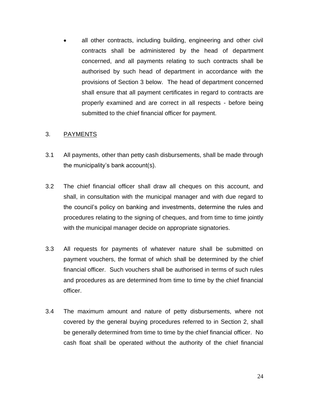all other contracts, including building, engineering and other civil contracts shall be administered by the head of department concerned, and all payments relating to such contracts shall be authorised by such head of department in accordance with the provisions of Section 3 below. The head of department concerned shall ensure that all payment certificates in regard to contracts are properly examined and are correct in all respects - before being submitted to the chief financial officer for payment.

#### 3. PAYMENTS

- 3.1 All payments, other than petty cash disbursements, shall be made through the municipality's bank account(s).
- 3.2 The chief financial officer shall draw all cheques on this account, and shall, in consultation with the municipal manager and with due regard to the council's policy on banking and investments, determine the rules and procedures relating to the signing of cheques, and from time to time jointly with the municipal manager decide on appropriate signatories.
- 3.3 All requests for payments of whatever nature shall be submitted on payment vouchers, the format of which shall be determined by the chief financial officer. Such vouchers shall be authorised in terms of such rules and procedures as are determined from time to time by the chief financial officer.
- 3.4 The maximum amount and nature of petty disbursements, where not covered by the general buying procedures referred to in Section 2, shall be generally determined from time to time by the chief financial officer. No cash float shall be operated without the authority of the chief financial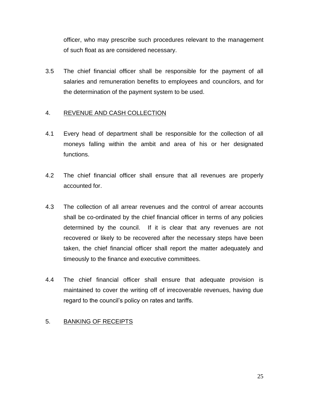officer, who may prescribe such procedures relevant to the management of such float as are considered necessary.

3.5 The chief financial officer shall be responsible for the payment of all salaries and remuneration benefits to employees and councilors, and for the determination of the payment system to be used.

### 4. REVENUE AND CASH COLLECTION

- 4.1 Every head of department shall be responsible for the collection of all moneys falling within the ambit and area of his or her designated functions.
- 4.2 The chief financial officer shall ensure that all revenues are properly accounted for.
- 4.3 The collection of all arrear revenues and the control of arrear accounts shall be co-ordinated by the chief financial officer in terms of any policies determined by the council. If it is clear that any revenues are not recovered or likely to be recovered after the necessary steps have been taken, the chief financial officer shall report the matter adequately and timeously to the finance and executive committees.
- 4.4 The chief financial officer shall ensure that adequate provision is maintained to cover the writing off of irrecoverable revenues, having due regard to the council's policy on rates and tariffs.

#### 5. BANKING OF RECEIPTS